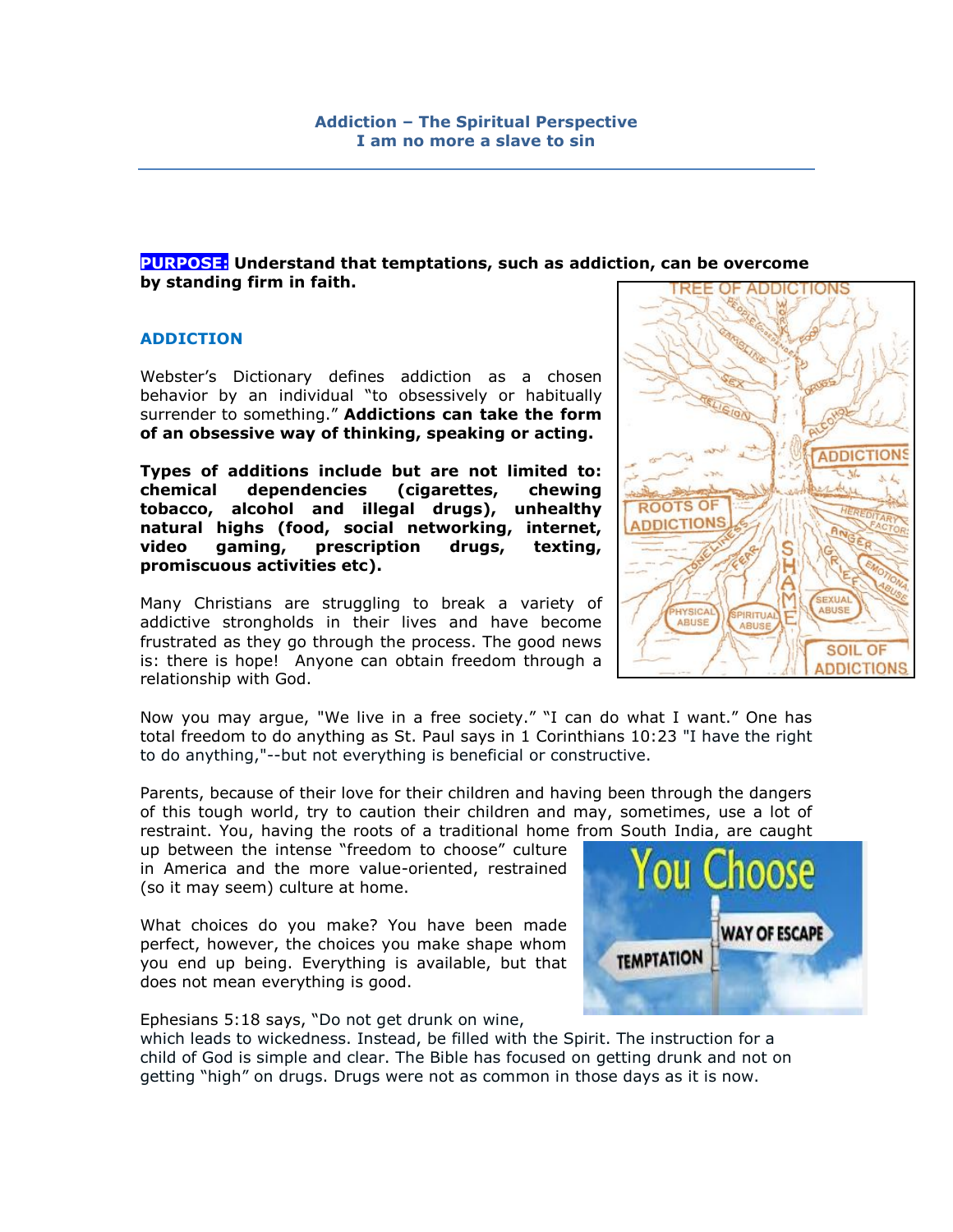# **PURPOSE: Understand that temptations, such as addiction, can be overcome by standing firm in faith.**

### **ADDICTION**

Webster"s Dictionary defines addiction as a chosen behavior by an individual "to obsessively or habitually surrender to something." **Addictions can take the form of an obsessive way of thinking, speaking or acting.** 

**Types of additions include but are not limited to: chemical dependencies (cigarettes, chewing tobacco, alcohol and illegal drugs), unhealthy natural highs (food, social networking, internet, video gaming, prescription drugs, texting, promiscuous activities etc).**

Many Christians are struggling to break a variety of addictive strongholds in their lives and have become frustrated as they go through the process. The good news is: there is hope! Anyone can obtain freedom through a relationship with God.

TREE OF ADDICTIONS **ADDICTIONS ROOTS OF DDICTIONS** SEXUAL **ABUSE** HYSICA PIRITUAL ARUSE **SOIL OF** ADDICTIONS

Now you may argue, "We live in a free society." "I can do what I want." One has total freedom to do anything as St. Paul says in 1 Corinthians 10:23 "I have the right to do anything,"--but not everything is beneficial or constructive.

Parents, because of their love for their children and having been through the dangers of this tough world, try to caution their children and may, sometimes, use a lot of restraint. You, having the roots of a traditional home from South India, are caught

up between the intense "freedom to choose" culture in America and the more value-oriented, restrained (so it may seem) culture at home.

What choices do you make? You have been made perfect, however, the choices you make shape whom you end up being. Everything is available, but that does not mean everything is good.

Ephesians 5:18 says, "Do not get drunk on wine,

which leads to wickedness. Instead, be filled with the Spirit. The instruction for a child of God is simple and clear. The Bible has focused on getting drunk and not on getting "high" on drugs. Drugs were not as common in those days as it is now.

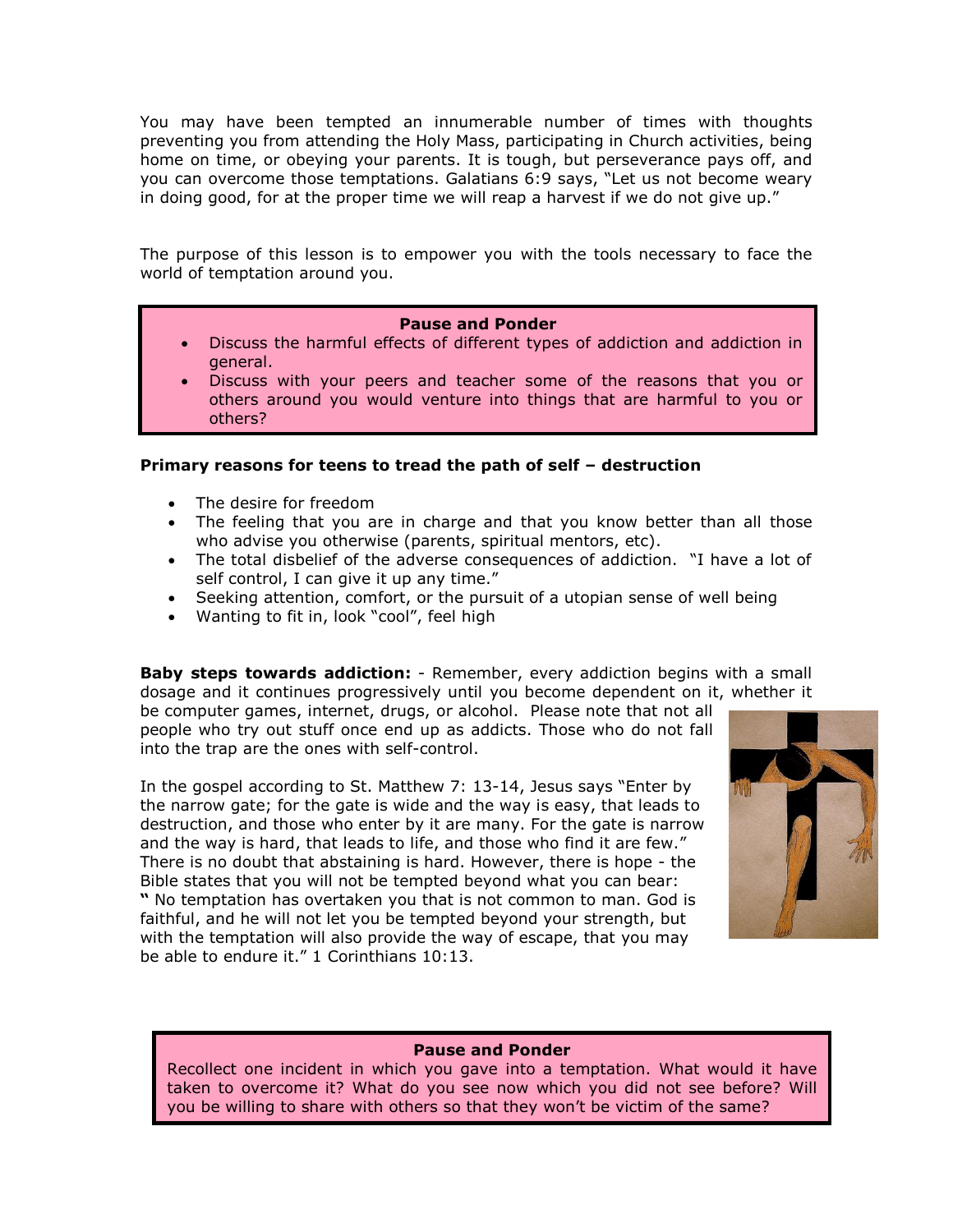You may have been tempted an innumerable number of times with thoughts preventing you from attending the Holy Mass, participating in Church activities, being home on time, or obeying your parents. It is tough, but perseverance pays off, and you can overcome those temptations. Galatians 6:9 says, "Let us not become weary in doing good, for at the proper time we will reap a harvest if we do not give up."

The purpose of this lesson is to empower you with the tools necessary to face the world of temptation around you.

### **Pause and Ponder**

- Discuss the harmful effects of different types of addiction and addiction in general.
- Discuss with your peers and teacher some of the reasons that you or others around you would venture into things that are harmful to you or others?

### **Primary reasons for teens to tread the path of self – destruction**

- The desire for freedom
- The feeling that you are in charge and that you know better than all those who advise you otherwise (parents, spiritual mentors, etc).
- The total disbelief of the adverse consequences of addiction. "I have a lot of self control, I can give it up any time."
- Seeking attention, comfort, or the pursuit of a utopian sense of well being
- Wanting to fit in, look "cool", feel high

be able to endure it." 1 Corinthians 10:13.

**Baby steps towards addiction:** - Remember, every addiction begins with a small dosage and it continues progressively until you become dependent on it, whether it

be computer games, internet, drugs, or alcohol. Please note that not all people who try out stuff once end up as addicts. Those who do not fall into the trap are the ones with self-control.

In the gospel according to St. Matthew 7: 13-14, Jesus says "Enter by the narrow gate; for the gate is wide and the way is easy, that leads to destruction, and those who enter by it are many. For the gate is narrow and the way is hard, that leads to life, and those who find it are few." There is no doubt that abstaining is hard. However, there is hope - the Bible states that you will not be tempted beyond what you can bear: **"** No temptation has overtaken you that is not common to man. God is faithful, and he will not let you be tempted beyond your strength, but with the temptation will also provide the way of escape, that you may



#### **Pause and Ponder**

Recollect one incident in which you gave into a temptation. What would it have taken to overcome it? What do you see now which you did not see before? Will you be willing to share with others so that they won't be victim of the same?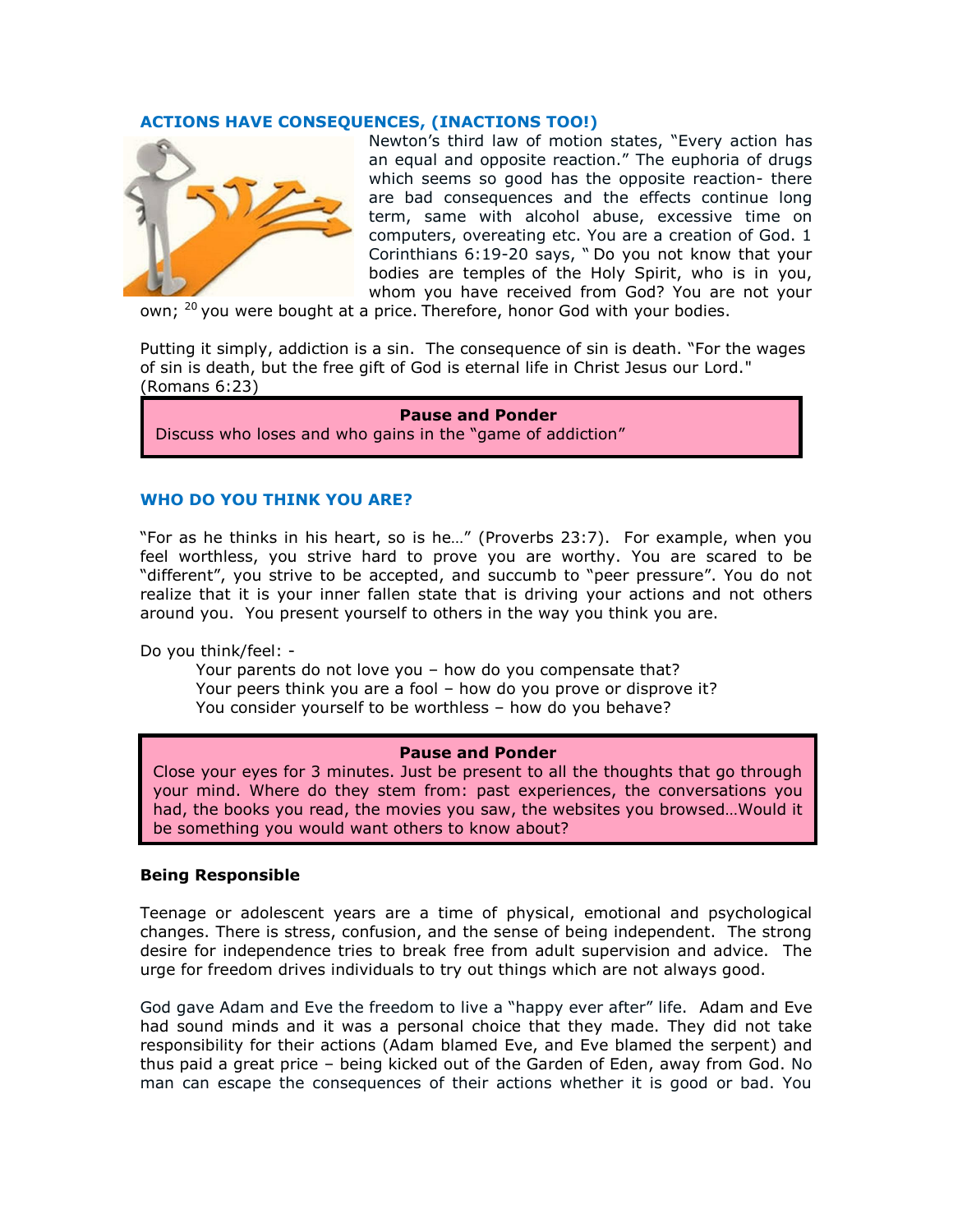## **ACTIONS HAVE CONSEQUENCES, (INACTIONS TOO!)**



Newton"s third law of motion states, "Every action has an equal and opposite reaction." The euphoria of drugs which seems so good has the opposite reaction- there are bad consequences and the effects continue long term, same with alcohol abuse, excessive time on computers, overeating etc. You are a creation of God. 1 Corinthians 6:19-20 says, " Do you not know that your bodies are temples of the Holy Spirit, who is in you, whom you have received from God? You are not your

own; <sup>20</sup> you were bought at a price. Therefore, honor God with your bodies.

Putting it simply, addiction is a sin. The consequence of sin is death. "For the wages of sin is death, but the free gift of God is eternal life in Christ Jesus our Lord." (Romans 6:23)

# **Pause and Ponder**

Discuss who loses and who gains in the "game of addiction"

### **WHO DO YOU THINK YOU ARE?**

"For as he thinks in his heart, so is he…" (Proverbs 23:7). For example, when you feel worthless, you strive hard to prove you are worthy. You are scared to be "different", you strive to be accepted, and succumb to "peer pressure". You do not realize that it is your inner fallen state that is driving your actions and not others around you. You present yourself to others in the way you think you are.

Do you think/feel: -

Your parents do not love you – how do you compensate that? Your peers think you are a fool – how do you prove or disprove it? You consider yourself to be worthless – how do you behave?

#### **Pause and Ponder**

Close your eyes for 3 minutes. Just be present to all the thoughts that go through your mind. Where do they stem from: past experiences, the conversations you had, the books you read, the movies you saw, the websites you browsed…Would it be something you would want others to know about?

#### **Being Responsible**

Teenage or adolescent years are a time of physical, emotional and psychological changes. There is stress, confusion, and the sense of being independent. The strong desire for independence tries to break free from adult supervision and advice. The urge for freedom drives individuals to try out things which are not always good.

God gave Adam and Eve the freedom to live a "happy ever after" life. Adam and Eve had sound minds and it was a personal choice that they made. They did not take responsibility for their actions (Adam blamed Eve, and Eve blamed the serpent) and thus paid a great price – being kicked out of the Garden of Eden, away from God. No man can escape the consequences of their actions whether it is good or bad. You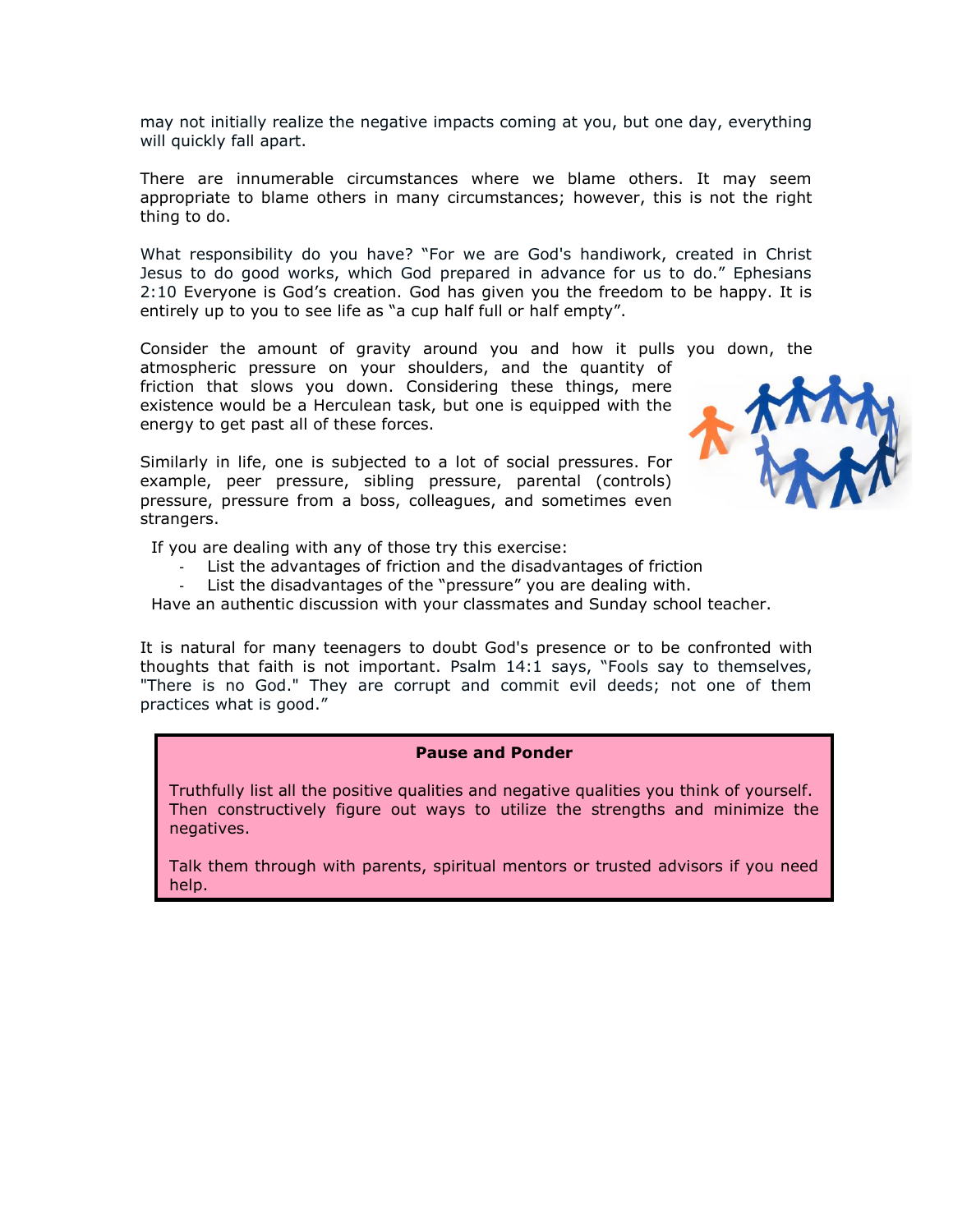may not initially realize the negative impacts coming at you, but one day, everything will quickly fall apart.

There are innumerable circumstances where we blame others. It may seem appropriate to blame others in many circumstances; however, this is not the right thing to do.

What responsibility do you have? "For we are God's handiwork, created in Christ Jesus to do good works, which God prepared in advance for us to do." Ephesians 2:10 Everyone is God"s creation. God has given you the freedom to be happy. It is entirely up to you to see life as "a cup half full or half empty".

Consider the amount of gravity around you and how it pulls you down, the

atmospheric pressure on your shoulders, and the quantity of friction that slows you down. Considering these things, mere existence would be a Herculean task, but one is equipped with the energy to get past all of these forces.

Similarly in life, one is subjected to a lot of social pressures. For example, peer pressure, sibling pressure, parental (controls) pressure, pressure from a boss, colleagues, and sometimes even strangers.



If you are dealing with any of those try this exercise:

- List the advantages of friction and the disadvantages of friction
- List the disadvantages of the "pressure" you are dealing with.

Have an authentic discussion with your classmates and Sunday school teacher.

It is natural for many teenagers to doubt God's presence or to be confronted with thoughts that faith is not important. Psalm 14:1 says, "Fools say to themselves, "There is no God." They are corrupt and commit evil deeds; not one of them practices what is good."

#### **Pause and Ponder**

Truthfully list all the positive qualities and negative qualities you think of yourself. Then constructively figure out ways to utilize the strengths and minimize the negatives.

Talk them through with parents, spiritual mentors or trusted advisors if you need help.